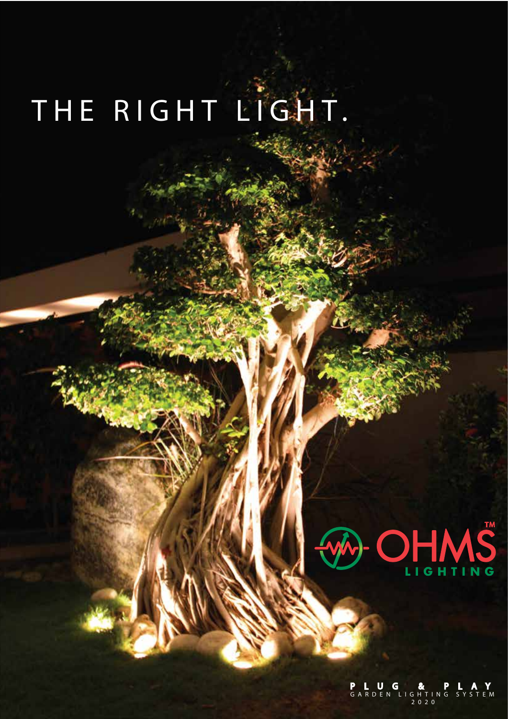## THE RIGHT LIGHT.



PLUG & PLAY GARDEN LIGHTING SYSTEM 2020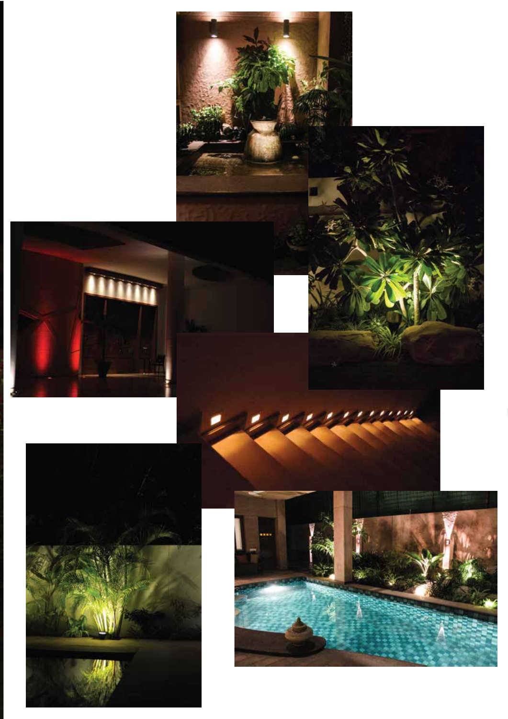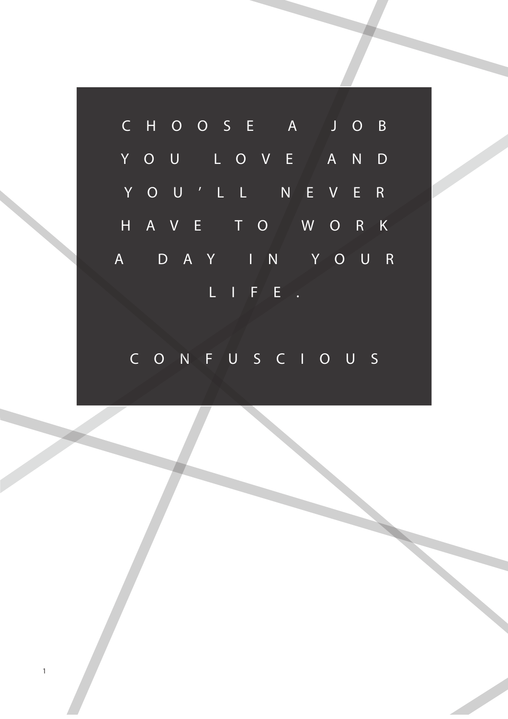CHOOSE A JOB YOU LOVE AND YOU'LL NEVER HAVE TO WORK A DAY IN YOUR  $L + F/E$ .

CONFUSCIOUS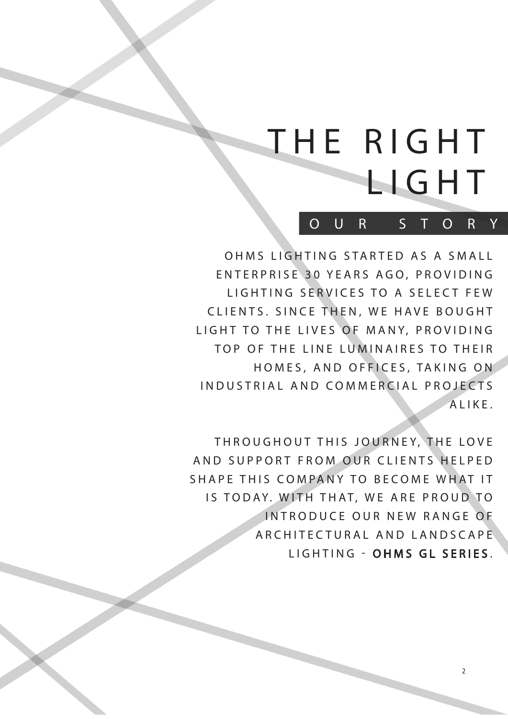## OUR STORY THE RIGHT LIGHT

OHMS LIGHTING STARTED AS A SMALL ENTERPRISE 30 YEARS AGO, PROVIDING LIGHTING SERVICES TO A SELECT FEW CLIENTS. SINCE THEN, WE HAVE BOUGHT LIGHT TO THE LIVES OF MANY, PROVIDING TOP OF THE LINE LUMINAIRES TO THEIR HOMES, AND OFFICES, TAKING ON INDUSTRIAL AND COMMERCIAL PROJECTS ALIKE.

THROUGHOUT THIS JOURNEY, THE LOVE AND SUPPORT FROM OUR CLIENTS HELPED SHAPE THIS COMPANY TO BECOME WHAT IT IS TODAY. WITH THAT, WE ARE PROUD TO INTRODUCE OUR NEW RANGE OF ARCHITECTURAL AND LANDSCAPE LIGHTING - OHMS GL SERIES.

2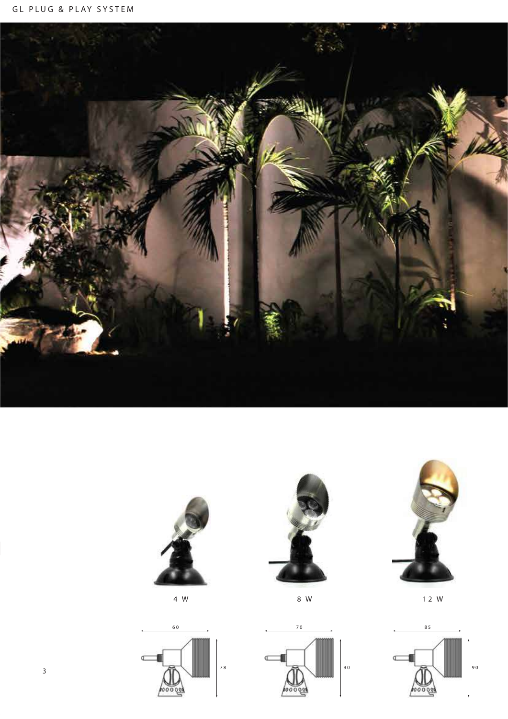







4 W 3 W 3 2 W





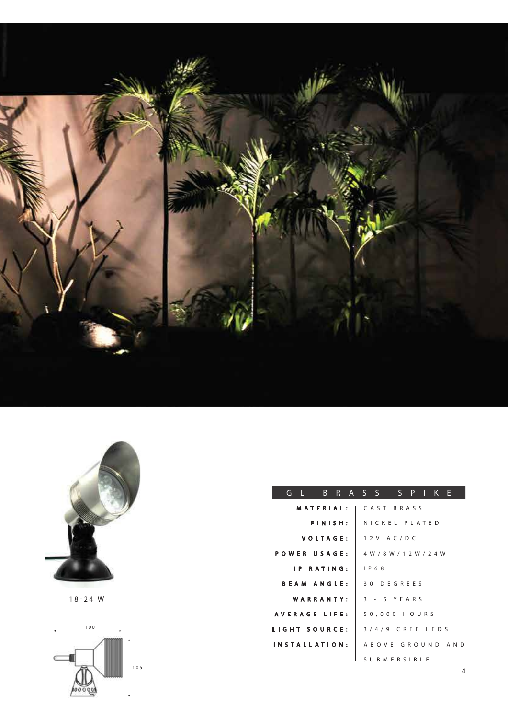



18-24 W



| B.<br>G.<br>. .             | R A S S<br>S P<br>IKE     |
|-----------------------------|---------------------------|
| MATERIAL:                   | CAST BRASS                |
| $F$ $I$ $N$ $I$ $S$ $H$ $:$ | NICKEL PLATED             |
| VOLTAGE:                    | $12V$ AC/DC               |
| <b>POWER USAGE:</b>         | 4 W / 8 W / 1 2 W / 2 4 W |
| IP RATING:                  | IP68                      |
| <b>BEAM ANGLE:</b>          | 30 DEGREES                |
| WARRANTY:                   | $3 - 5$ YEARS             |
| AVERAGE LIFE:               | 50,000 HOURS              |
| LIGHT SOURCE:               | 3/4/9 CREE LEDS           |
| INSTALLATION:               | ABOVE GROUND AND          |
|                             | <b>SURMERSIRIE</b>        |

4 and  $\sim$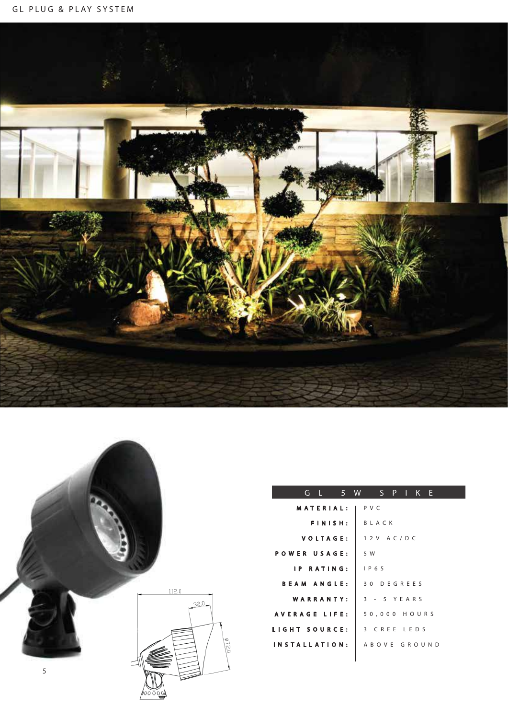



| GL -                        | 5 W SPIKE             |
|-----------------------------|-----------------------|
| <b>MATERIAL:</b>            | P V C                 |
| $F$ $I$ $N$ $I$ $S$ $H$ $:$ | BLACK                 |
| VOLTAGE:                    | $12V$ AC/DC           |
| <b>POWER USAGE:</b>         | 5 W                   |
| IP RATING:                  | IP65                  |
| <b>BEAM ANGLE:</b>          | 30 DEGREES            |
| WARRANTY:                   | $3 - 5$ YEARS         |
| AVERAGE LIFE:               | 50,000 HOURS          |
| .IGHT SOURCE:               | 3 CREE LEDS           |
| <b>INSTALLATION:</b>        | A B O V E G R O U N D |
|                             |                       |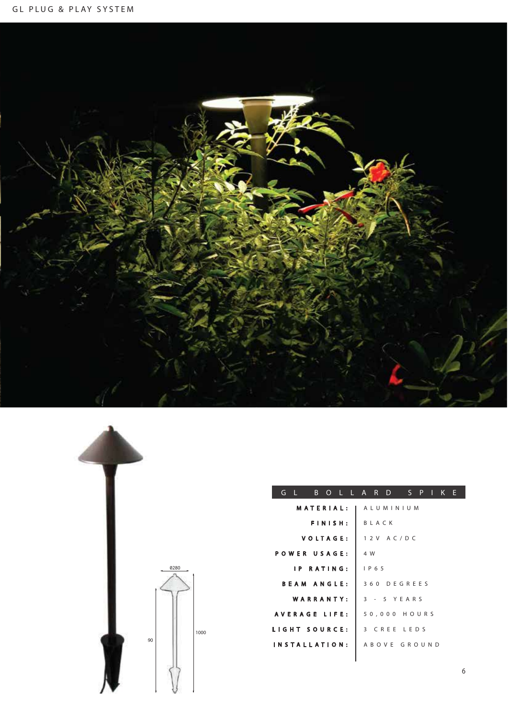



| G.<br>L.             | BOLLARD SPIKE         |
|----------------------|-----------------------|
| <b>MATERIAL: I</b>   | A L U M I N I U M     |
| FINISH:              | BLACK                 |
| VOLTAGE:             | $12V$ AC/DC           |
| <b>POWER USAGE:</b>  | 4 W                   |
| IP RATING:           | IP65                  |
| <b>BEAM ANGLE:</b>   | 360 DEGREES           |
| WARRANTY:            | 3 - 5 YEARS           |
| <b>AVERAGE LIFE:</b> | 50,000 HOURS          |
| LIGHT SOURCE:        | 3 CREE LEDS           |
| INSTALLATION:        | A B O V E G R O U N D |
|                      |                       |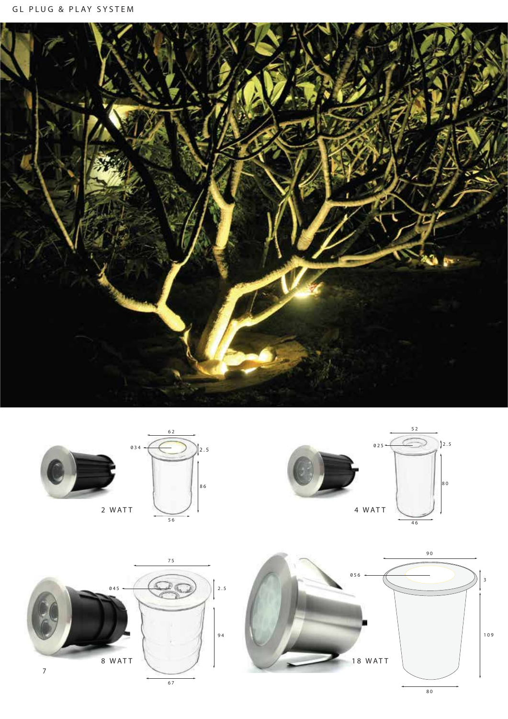







8 0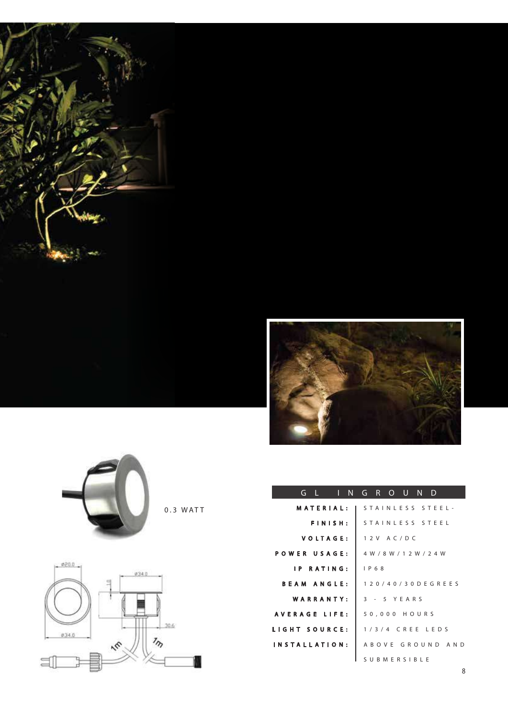





0.3 WAT T



| N.<br>n.<br>GL.             | G R O U N D               |
|-----------------------------|---------------------------|
| <b>MATERIAL:</b>            | STAINLESS STEEL-          |
| $F$ $I$ $N$ $I$ $S$ $H$ $:$ | STAINLESS STEEL           |
| VOLTAGE:                    | $12V$ AC/DC               |
| <b>POWER USAGE:</b>         | 4 W / 8 W / 1 2 W / 2 4 W |
| IP RATING:                  | IP68                      |
| <b>BEAM ANGLE:</b>          | 120/40/30DEGREES          |
| WARRANTY:                   | $3 - 5$ YEARS             |
| <b>AVERAGE LIFE:</b>        | 50,000 HOURS              |
| LIGHT SOURCE:               | 1/3/4 CREE LEDS           |
| INSTALLATION:               | ABOVE GROUND AND          |
|                             | SURMERSIRI F              |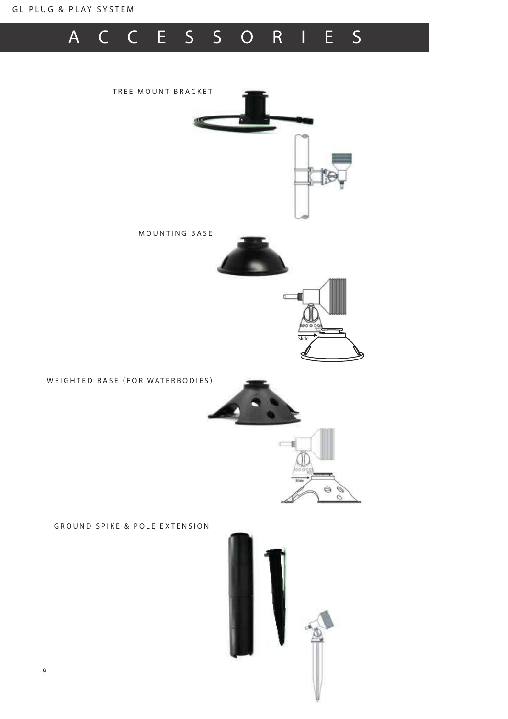



WEIGHTED BASE (FOR WATERBODIES)



GROUND SPIKE & POLE EXTENSION

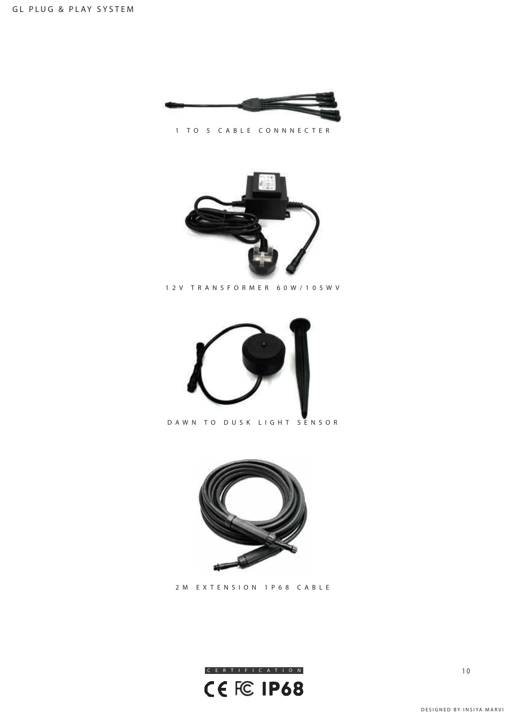



12V TRANSFORMER 60W/105WV



DAWN TO DUSK LIGHT SENSOR



2M EXTENSION 1P68 CABLE